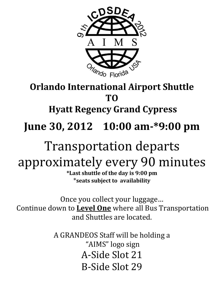

## **Orlando International Airport Shuttle TO Hyatt Regency Grand Cypress June 30, 2012 10:00 am-\*9:00 pm**

## Transportation departs approximately every 90 minutes

**\*Last shuttle of the day is 9:00 pm** \***seats subject to availability**

Once you collect your luggage… Continue down to **Level One** where all Bus Transportation and Shuttles are located.

> A GRANDEOS Staff will be holding a "AIMS" logo sign A-Side Slot 21 B-Side Slot 29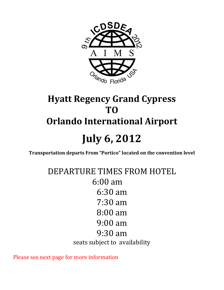

## **Hyatt Regency Grand Cypress TO Orlando International Airport July 6, 2012**

**Transportation departs From "Portico" located on the convention level**

DEPARTURE TIMES FROM HOTEL 6:00 am 6:30 am 7:30 am 8:00 am 9:00 am 9:30 am seats subject to availability

Please see next page for more information